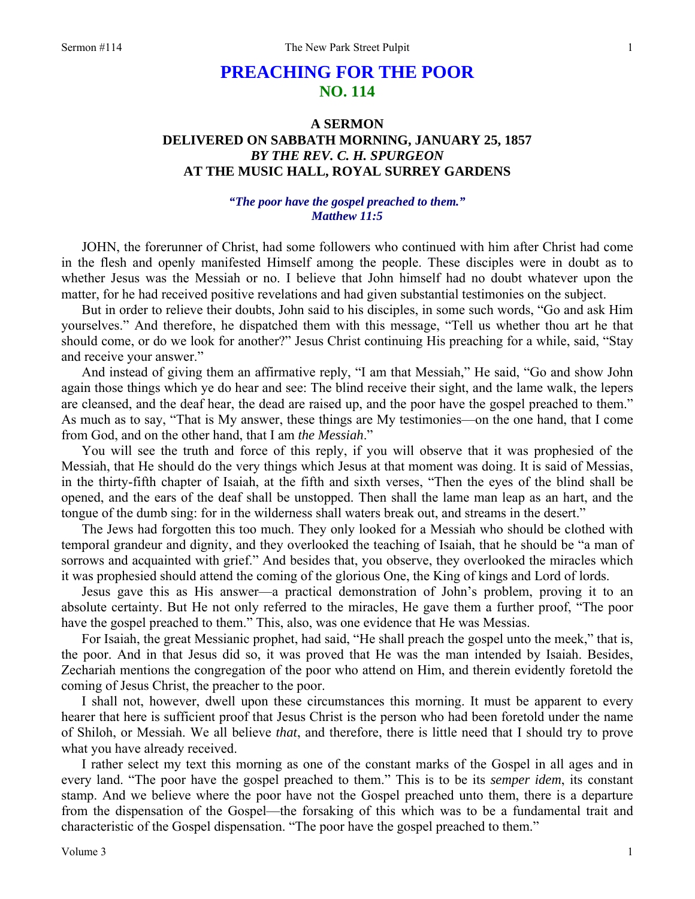# **PREACHING FOR THE POOR NO. 114**

## **A SERMON DELIVERED ON SABBATH MORNING, JANUARY 25, 1857**  *BY THE REV. C. H. SPURGEON*  **AT THE MUSIC HALL, ROYAL SURREY GARDENS**

### *"The poor have the gospel preached to them." Matthew 11:5*

JOHN, the forerunner of Christ, had some followers who continued with him after Christ had come in the flesh and openly manifested Himself among the people. These disciples were in doubt as to whether Jesus was the Messiah or no. I believe that John himself had no doubt whatever upon the matter, for he had received positive revelations and had given substantial testimonies on the subject.

But in order to relieve their doubts, John said to his disciples, in some such words, "Go and ask Him yourselves." And therefore, he dispatched them with this message, "Tell us whether thou art he that should come, or do we look for another?" Jesus Christ continuing His preaching for a while, said, "Stay and receive your answer."

And instead of giving them an affirmative reply, "I am that Messiah," He said, "Go and show John again those things which ye do hear and see: The blind receive their sight, and the lame walk, the lepers are cleansed, and the deaf hear, the dead are raised up, and the poor have the gospel preached to them." As much as to say, "That is My answer, these things are My testimonies—on the one hand, that I come from God, and on the other hand, that I am *the Messiah*."

You will see the truth and force of this reply, if you will observe that it was prophesied of the Messiah, that He should do the very things which Jesus at that moment was doing. It is said of Messias, in the thirty-fifth chapter of Isaiah, at the fifth and sixth verses, "Then the eyes of the blind shall be opened, and the ears of the deaf shall be unstopped. Then shall the lame man leap as an hart, and the tongue of the dumb sing: for in the wilderness shall waters break out, and streams in the desert."

The Jews had forgotten this too much. They only looked for a Messiah who should be clothed with temporal grandeur and dignity, and they overlooked the teaching of Isaiah, that he should be "a man of sorrows and acquainted with grief." And besides that, you observe, they overlooked the miracles which it was prophesied should attend the coming of the glorious One, the King of kings and Lord of lords.

Jesus gave this as His answer—a practical demonstration of John's problem, proving it to an absolute certainty. But He not only referred to the miracles, He gave them a further proof, "The poor have the gospel preached to them." This, also, was one evidence that He was Messias.

For Isaiah, the great Messianic prophet, had said, "He shall preach the gospel unto the meek," that is, the poor. And in that Jesus did so, it was proved that He was the man intended by Isaiah. Besides, Zechariah mentions the congregation of the poor who attend on Him, and therein evidently foretold the coming of Jesus Christ, the preacher to the poor.

I shall not, however, dwell upon these circumstances this morning. It must be apparent to every hearer that here is sufficient proof that Jesus Christ is the person who had been foretold under the name of Shiloh, or Messiah. We all believe *that*, and therefore, there is little need that I should try to prove what you have already received.

I rather select my text this morning as one of the constant marks of the Gospel in all ages and in every land. "The poor have the gospel preached to them." This is to be its *semper idem*, its constant stamp. And we believe where the poor have not the Gospel preached unto them, there is a departure from the dispensation of the Gospel—the forsaking of this which was to be a fundamental trait and characteristic of the Gospel dispensation. "The poor have the gospel preached to them."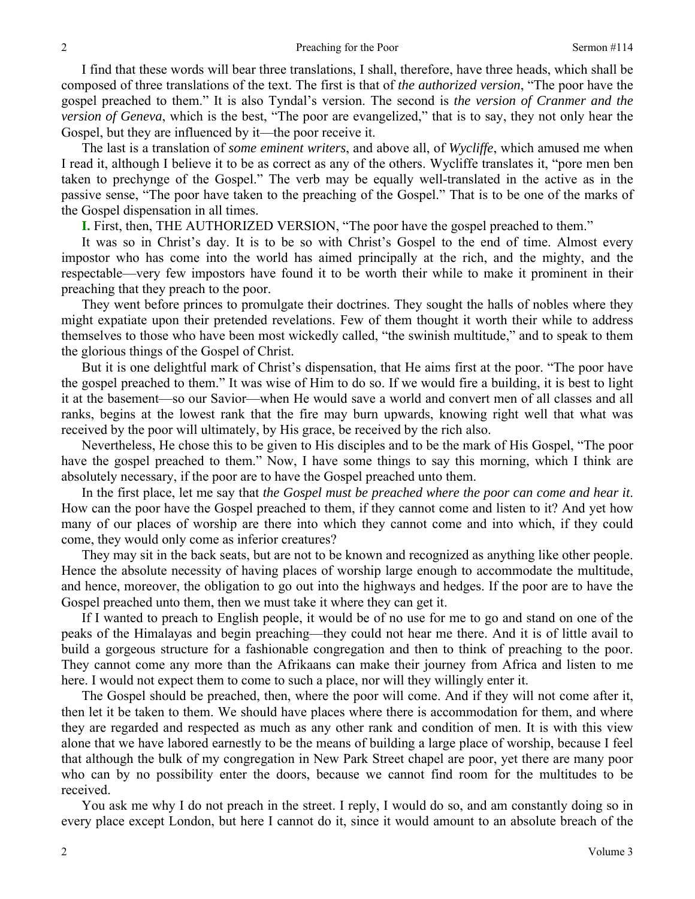I find that these words will bear three translations, I shall, therefore, have three heads, which shall be composed of three translations of the text. The first is that of *the authorized version*, "The poor have the gospel preached to them." It is also Tyndal's version. The second is *the version of Cranmer and the version of Geneva*, which is the best, "The poor are evangelized," that is to say, they not only hear the Gospel, but they are influenced by it—the poor receive it.

The last is a translation of *some eminent writers*, and above all, of *Wycliffe*, which amused me when I read it, although I believe it to be as correct as any of the others. Wycliffe translates it, "pore men ben taken to prechynge of the Gospel." The verb may be equally well-translated in the active as in the passive sense, "The poor have taken to the preaching of the Gospel." That is to be one of the marks of the Gospel dispensation in all times.

**I.** First, then, THE AUTHORIZED VERSION, "The poor have the gospel preached to them."

It was so in Christ's day. It is to be so with Christ's Gospel to the end of time. Almost every impostor who has come into the world has aimed principally at the rich, and the mighty, and the respectable—very few impostors have found it to be worth their while to make it prominent in their preaching that they preach to the poor.

They went before princes to promulgate their doctrines. They sought the halls of nobles where they might expatiate upon their pretended revelations. Few of them thought it worth their while to address themselves to those who have been most wickedly called, "the swinish multitude," and to speak to them the glorious things of the Gospel of Christ.

But it is one delightful mark of Christ's dispensation, that He aims first at the poor. "The poor have the gospel preached to them." It was wise of Him to do so. If we would fire a building, it is best to light it at the basement—so our Savior—when He would save a world and convert men of all classes and all ranks, begins at the lowest rank that the fire may burn upwards, knowing right well that what was received by the poor will ultimately, by His grace, be received by the rich also.

Nevertheless, He chose this to be given to His disciples and to be the mark of His Gospel, "The poor have the gospel preached to them." Now, I have some things to say this morning, which I think are absolutely necessary, if the poor are to have the Gospel preached unto them.

In the first place, let me say that *the Gospel must be preached where the poor can come and hear it*. How can the poor have the Gospel preached to them, if they cannot come and listen to it? And yet how many of our places of worship are there into which they cannot come and into which, if they could come, they would only come as inferior creatures?

They may sit in the back seats, but are not to be known and recognized as anything like other people. Hence the absolute necessity of having places of worship large enough to accommodate the multitude, and hence, moreover, the obligation to go out into the highways and hedges. If the poor are to have the Gospel preached unto them, then we must take it where they can get it.

If I wanted to preach to English people, it would be of no use for me to go and stand on one of the peaks of the Himalayas and begin preaching—they could not hear me there. And it is of little avail to build a gorgeous structure for a fashionable congregation and then to think of preaching to the poor. They cannot come any more than the Afrikaans can make their journey from Africa and listen to me here. I would not expect them to come to such a place, nor will they willingly enter it.

The Gospel should be preached, then, where the poor will come. And if they will not come after it, then let it be taken to them. We should have places where there is accommodation for them, and where they are regarded and respected as much as any other rank and condition of men. It is with this view alone that we have labored earnestly to be the means of building a large place of worship, because I feel that although the bulk of my congregation in New Park Street chapel are poor, yet there are many poor who can by no possibility enter the doors, because we cannot find room for the multitudes to be received.

You ask me why I do not preach in the street. I reply, I would do so, and am constantly doing so in every place except London, but here I cannot do it, since it would amount to an absolute breach of the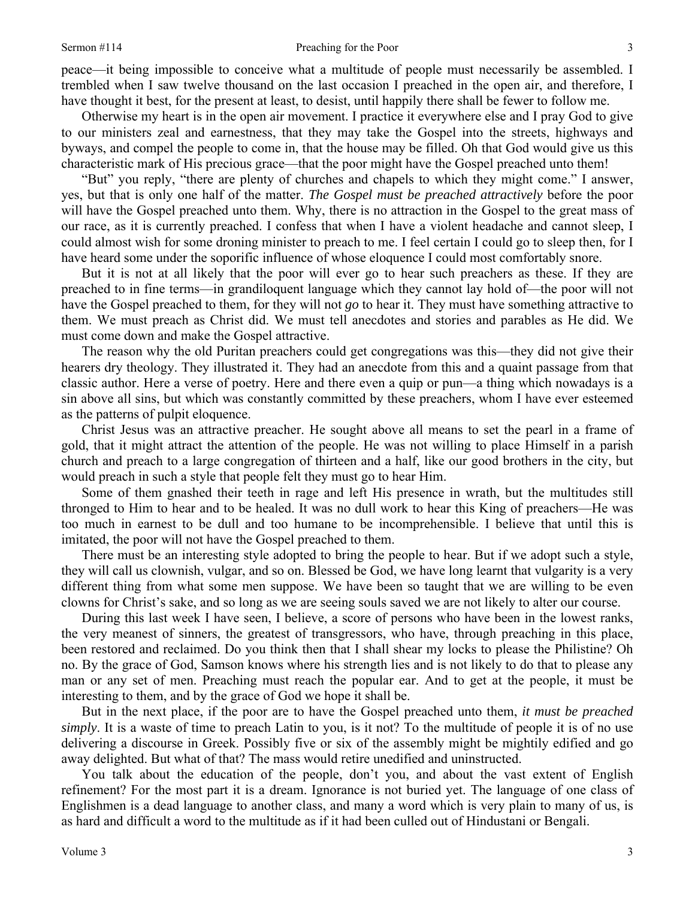#### Sermon #114 Preaching for the Poor

peace—it being impossible to conceive what a multitude of people must necessarily be assembled. I trembled when I saw twelve thousand on the last occasion I preached in the open air, and therefore, I have thought it best, for the present at least, to desist, until happily there shall be fewer to follow me.

Otherwise my heart is in the open air movement. I practice it everywhere else and I pray God to give to our ministers zeal and earnestness, that they may take the Gospel into the streets, highways and byways, and compel the people to come in, that the house may be filled. Oh that God would give us this characteristic mark of His precious grace—that the poor might have the Gospel preached unto them!

"But" you reply, "there are plenty of churches and chapels to which they might come." I answer, yes, but that is only one half of the matter. *The Gospel must be preached attractively* before the poor will have the Gospel preached unto them. Why, there is no attraction in the Gospel to the great mass of our race, as it is currently preached. I confess that when I have a violent headache and cannot sleep, I could almost wish for some droning minister to preach to me. I feel certain I could go to sleep then, for I have heard some under the soporific influence of whose eloquence I could most comfortably snore.

But it is not at all likely that the poor will ever go to hear such preachers as these. If they are preached to in fine terms—in grandiloquent language which they cannot lay hold of—the poor will not have the Gospel preached to them, for they will not *go* to hear it. They must have something attractive to them. We must preach as Christ did. We must tell anecdotes and stories and parables as He did. We must come down and make the Gospel attractive.

The reason why the old Puritan preachers could get congregations was this—they did not give their hearers dry theology. They illustrated it. They had an anecdote from this and a quaint passage from that classic author. Here a verse of poetry. Here and there even a quip or pun—a thing which nowadays is a sin above all sins, but which was constantly committed by these preachers, whom I have ever esteemed as the patterns of pulpit eloquence.

Christ Jesus was an attractive preacher. He sought above all means to set the pearl in a frame of gold, that it might attract the attention of the people. He was not willing to place Himself in a parish church and preach to a large congregation of thirteen and a half, like our good brothers in the city, but would preach in such a style that people felt they must go to hear Him.

Some of them gnashed their teeth in rage and left His presence in wrath, but the multitudes still thronged to Him to hear and to be healed. It was no dull work to hear this King of preachers—He was too much in earnest to be dull and too humane to be incomprehensible. I believe that until this is imitated, the poor will not have the Gospel preached to them.

There must be an interesting style adopted to bring the people to hear. But if we adopt such a style, they will call us clownish, vulgar, and so on. Blessed be God, we have long learnt that vulgarity is a very different thing from what some men suppose. We have been so taught that we are willing to be even clowns for Christ's sake, and so long as we are seeing souls saved we are not likely to alter our course.

During this last week I have seen, I believe, a score of persons who have been in the lowest ranks, the very meanest of sinners, the greatest of transgressors, who have, through preaching in this place, been restored and reclaimed. Do you think then that I shall shear my locks to please the Philistine? Oh no. By the grace of God, Samson knows where his strength lies and is not likely to do that to please any man or any set of men. Preaching must reach the popular ear. And to get at the people, it must be interesting to them, and by the grace of God we hope it shall be.

But in the next place, if the poor are to have the Gospel preached unto them, *it must be preached simply*. It is a waste of time to preach Latin to you, is it not? To the multitude of people it is of no use delivering a discourse in Greek. Possibly five or six of the assembly might be mightily edified and go away delighted. But what of that? The mass would retire unedified and uninstructed.

You talk about the education of the people, don't you, and about the vast extent of English refinement? For the most part it is a dream. Ignorance is not buried yet. The language of one class of Englishmen is a dead language to another class, and many a word which is very plain to many of us, is as hard and difficult a word to the multitude as if it had been culled out of Hindustani or Bengali.

3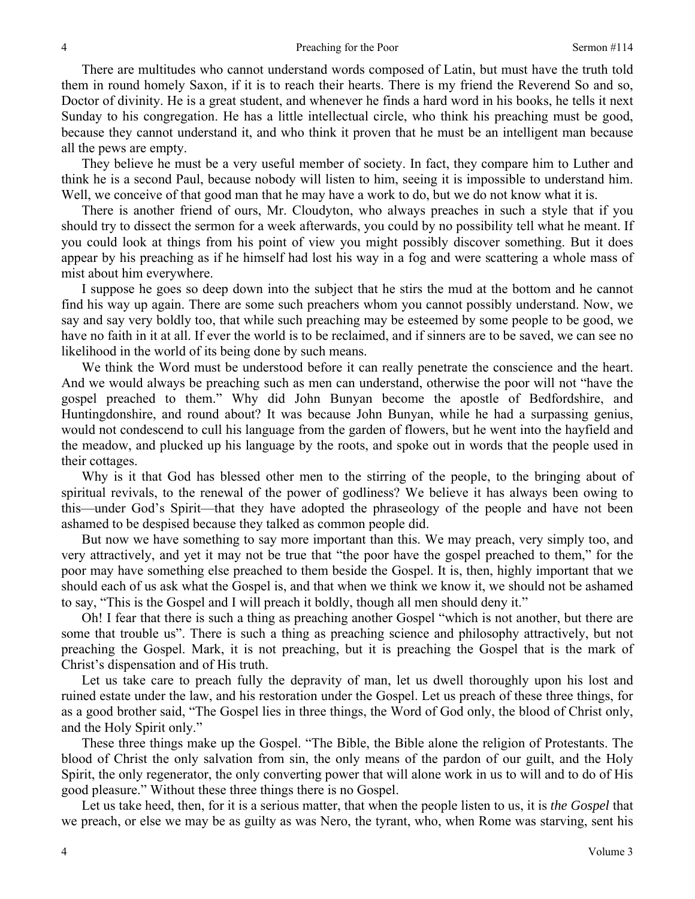There are multitudes who cannot understand words composed of Latin, but must have the truth told them in round homely Saxon, if it is to reach their hearts. There is my friend the Reverend So and so, Doctor of divinity. He is a great student, and whenever he finds a hard word in his books, he tells it next Sunday to his congregation. He has a little intellectual circle, who think his preaching must be good, because they cannot understand it, and who think it proven that he must be an intelligent man because all the pews are empty.

They believe he must be a very useful member of society. In fact, they compare him to Luther and think he is a second Paul, because nobody will listen to him, seeing it is impossible to understand him. Well, we conceive of that good man that he may have a work to do, but we do not know what it is.

There is another friend of ours, Mr. Cloudyton, who always preaches in such a style that if you should try to dissect the sermon for a week afterwards, you could by no possibility tell what he meant. If you could look at things from his point of view you might possibly discover something. But it does appear by his preaching as if he himself had lost his way in a fog and were scattering a whole mass of mist about him everywhere.

I suppose he goes so deep down into the subject that he stirs the mud at the bottom and he cannot find his way up again. There are some such preachers whom you cannot possibly understand. Now, we say and say very boldly too, that while such preaching may be esteemed by some people to be good, we have no faith in it at all. If ever the world is to be reclaimed, and if sinners are to be saved, we can see no likelihood in the world of its being done by such means.

We think the Word must be understood before it can really penetrate the conscience and the heart. And we would always be preaching such as men can understand, otherwise the poor will not "have the gospel preached to them." Why did John Bunyan become the apostle of Bedfordshire, and Huntingdonshire, and round about? It was because John Bunyan, while he had a surpassing genius, would not condescend to cull his language from the garden of flowers, but he went into the hayfield and the meadow, and plucked up his language by the roots, and spoke out in words that the people used in their cottages.

Why is it that God has blessed other men to the stirring of the people, to the bringing about of spiritual revivals, to the renewal of the power of godliness? We believe it has always been owing to this—under God's Spirit—that they have adopted the phraseology of the people and have not been ashamed to be despised because they talked as common people did.

But now we have something to say more important than this. We may preach, very simply too, and very attractively, and yet it may not be true that "the poor have the gospel preached to them," for the poor may have something else preached to them beside the Gospel. It is, then, highly important that we should each of us ask what the Gospel is, and that when we think we know it, we should not be ashamed to say, "This is the Gospel and I will preach it boldly, though all men should deny it."

Oh! I fear that there is such a thing as preaching another Gospel "which is not another, but there are some that trouble us". There is such a thing as preaching science and philosophy attractively, but not preaching the Gospel. Mark, it is not preaching, but it is preaching the Gospel that is the mark of Christ's dispensation and of His truth.

Let us take care to preach fully the depravity of man, let us dwell thoroughly upon his lost and ruined estate under the law, and his restoration under the Gospel. Let us preach of these three things, for as a good brother said, "The Gospel lies in three things, the Word of God only, the blood of Christ only, and the Holy Spirit only."

These three things make up the Gospel. "The Bible, the Bible alone the religion of Protestants. The blood of Christ the only salvation from sin, the only means of the pardon of our guilt, and the Holy Spirit, the only regenerator, the only converting power that will alone work in us to will and to do of His good pleasure." Without these three things there is no Gospel.

Let us take heed, then, for it is a serious matter, that when the people listen to us, it is *the Gospel* that we preach, or else we may be as guilty as was Nero, the tyrant, who, when Rome was starving, sent his

4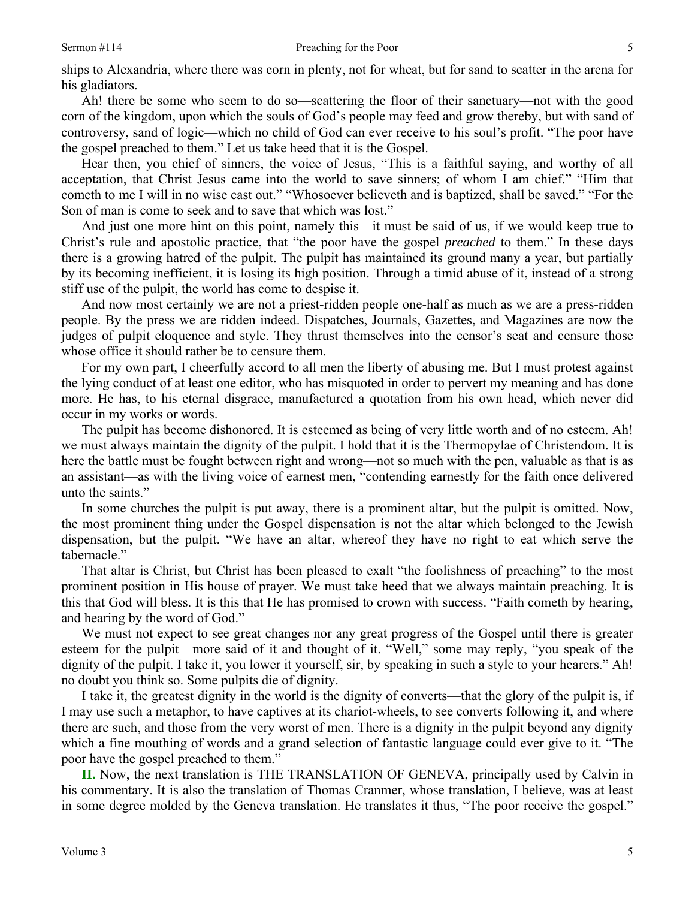ships to Alexandria, where there was corn in plenty, not for wheat, but for sand to scatter in the arena for his gladiators.

Ah! there be some who seem to do so—scattering the floor of their sanctuary—not with the good corn of the kingdom, upon which the souls of God's people may feed and grow thereby, but with sand of controversy, sand of logic—which no child of God can ever receive to his soul's profit. "The poor have the gospel preached to them." Let us take heed that it is the Gospel.

Hear then, you chief of sinners, the voice of Jesus, "This is a faithful saying, and worthy of all acceptation, that Christ Jesus came into the world to save sinners; of whom I am chief." "Him that cometh to me I will in no wise cast out." "Whosoever believeth and is baptized, shall be saved." "For the Son of man is come to seek and to save that which was lost."

And just one more hint on this point, namely this—it must be said of us, if we would keep true to Christ's rule and apostolic practice, that "the poor have the gospel *preached* to them." In these days there is a growing hatred of the pulpit. The pulpit has maintained its ground many a year, but partially by its becoming inefficient, it is losing its high position. Through a timid abuse of it, instead of a strong stiff use of the pulpit, the world has come to despise it.

And now most certainly we are not a priest-ridden people one-half as much as we are a press-ridden people. By the press we are ridden indeed. Dispatches, Journals, Gazettes, and Magazines are now the judges of pulpit eloquence and style. They thrust themselves into the censor's seat and censure those whose office it should rather be to censure them.

For my own part, I cheerfully accord to all men the liberty of abusing me. But I must protest against the lying conduct of at least one editor, who has misquoted in order to pervert my meaning and has done more. He has, to his eternal disgrace, manufactured a quotation from his own head, which never did occur in my works or words.

The pulpit has become dishonored. It is esteemed as being of very little worth and of no esteem. Ah! we must always maintain the dignity of the pulpit. I hold that it is the Thermopylae of Christendom. It is here the battle must be fought between right and wrong—not so much with the pen, valuable as that is as an assistant—as with the living voice of earnest men, "contending earnestly for the faith once delivered unto the saints."

In some churches the pulpit is put away, there is a prominent altar, but the pulpit is omitted. Now, the most prominent thing under the Gospel dispensation is not the altar which belonged to the Jewish dispensation, but the pulpit. "We have an altar, whereof they have no right to eat which serve the tabernacle."

That altar is Christ, but Christ has been pleased to exalt "the foolishness of preaching" to the most prominent position in His house of prayer. We must take heed that we always maintain preaching. It is this that God will bless. It is this that He has promised to crown with success. "Faith cometh by hearing, and hearing by the word of God."

We must not expect to see great changes nor any great progress of the Gospel until there is greater esteem for the pulpit—more said of it and thought of it. "Well," some may reply, "you speak of the dignity of the pulpit. I take it, you lower it yourself, sir, by speaking in such a style to your hearers." Ah! no doubt you think so. Some pulpits die of dignity.

I take it, the greatest dignity in the world is the dignity of converts—that the glory of the pulpit is, if I may use such a metaphor, to have captives at its chariot-wheels, to see converts following it, and where there are such, and those from the very worst of men. There is a dignity in the pulpit beyond any dignity which a fine mouthing of words and a grand selection of fantastic language could ever give to it. "The poor have the gospel preached to them."

**II.** Now, the next translation is THE TRANSLATION OF GENEVA, principally used by Calvin in his commentary. It is also the translation of Thomas Cranmer, whose translation, I believe, was at least in some degree molded by the Geneva translation. He translates it thus, "The poor receive the gospel."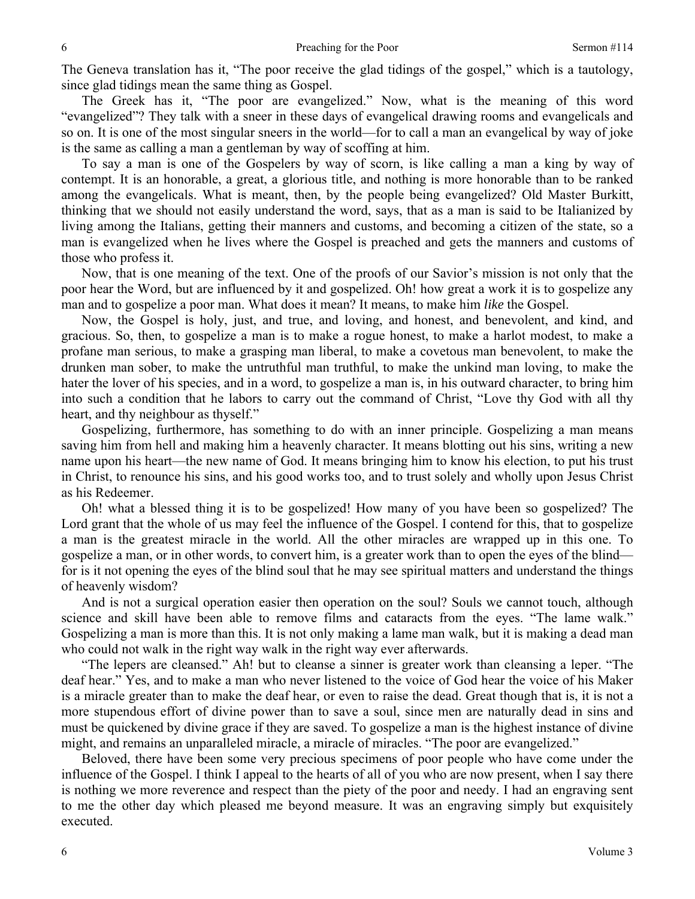The Geneva translation has it, "The poor receive the glad tidings of the gospel," which is a tautology, since glad tidings mean the same thing as Gospel.

The Greek has it, "The poor are evangelized." Now, what is the meaning of this word "evangelized"? They talk with a sneer in these days of evangelical drawing rooms and evangelicals and so on. It is one of the most singular sneers in the world—for to call a man an evangelical by way of joke is the same as calling a man a gentleman by way of scoffing at him.

To say a man is one of the Gospelers by way of scorn, is like calling a man a king by way of contempt. It is an honorable, a great, a glorious title, and nothing is more honorable than to be ranked among the evangelicals. What is meant, then, by the people being evangelized? Old Master Burkitt, thinking that we should not easily understand the word, says, that as a man is said to be Italianized by living among the Italians, getting their manners and customs, and becoming a citizen of the state, so a man is evangelized when he lives where the Gospel is preached and gets the manners and customs of those who profess it.

Now, that is one meaning of the text. One of the proofs of our Savior's mission is not only that the poor hear the Word, but are influenced by it and gospelized. Oh! how great a work it is to gospelize any man and to gospelize a poor man. What does it mean? It means, to make him *like* the Gospel.

Now, the Gospel is holy, just, and true, and loving, and honest, and benevolent, and kind, and gracious. So, then, to gospelize a man is to make a rogue honest, to make a harlot modest, to make a profane man serious, to make a grasping man liberal, to make a covetous man benevolent, to make the drunken man sober, to make the untruthful man truthful, to make the unkind man loving, to make the hater the lover of his species, and in a word, to gospelize a man is, in his outward character, to bring him into such a condition that he labors to carry out the command of Christ, "Love thy God with all thy heart, and thy neighbour as thyself."

Gospelizing, furthermore, has something to do with an inner principle. Gospelizing a man means saving him from hell and making him a heavenly character. It means blotting out his sins, writing a new name upon his heart—the new name of God. It means bringing him to know his election, to put his trust in Christ, to renounce his sins, and his good works too, and to trust solely and wholly upon Jesus Christ as his Redeemer.

Oh! what a blessed thing it is to be gospelized! How many of you have been so gospelized? The Lord grant that the whole of us may feel the influence of the Gospel. I contend for this, that to gospelize a man is the greatest miracle in the world. All the other miracles are wrapped up in this one. To gospelize a man, or in other words, to convert him, is a greater work than to open the eyes of the blind for is it not opening the eyes of the blind soul that he may see spiritual matters and understand the things of heavenly wisdom?

And is not a surgical operation easier then operation on the soul? Souls we cannot touch, although science and skill have been able to remove films and cataracts from the eyes. "The lame walk." Gospelizing a man is more than this. It is not only making a lame man walk, but it is making a dead man who could not walk in the right way walk in the right way ever afterwards.

"The lepers are cleansed." Ah! but to cleanse a sinner is greater work than cleansing a leper. "The deaf hear." Yes, and to make a man who never listened to the voice of God hear the voice of his Maker is a miracle greater than to make the deaf hear, or even to raise the dead. Great though that is, it is not a more stupendous effort of divine power than to save a soul, since men are naturally dead in sins and must be quickened by divine grace if they are saved. To gospelize a man is the highest instance of divine might, and remains an unparalleled miracle, a miracle of miracles. "The poor are evangelized."

Beloved, there have been some very precious specimens of poor people who have come under the influence of the Gospel. I think I appeal to the hearts of all of you who are now present, when I say there is nothing we more reverence and respect than the piety of the poor and needy. I had an engraving sent to me the other day which pleased me beyond measure. It was an engraving simply but exquisitely executed.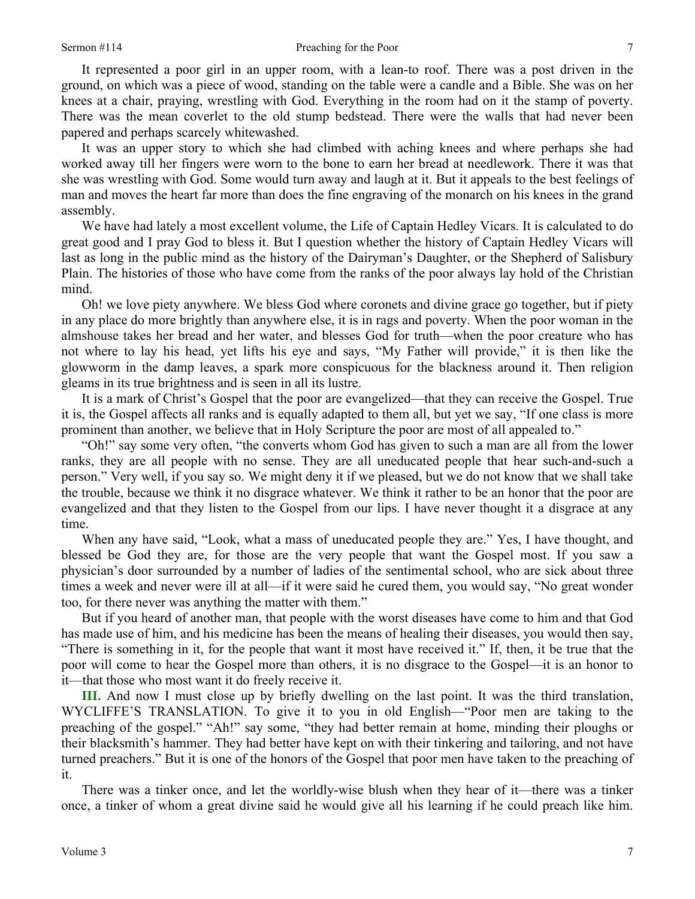It represented a poor girl in an upper room, with a lean-to roof. There was a post driven in the ground, on which was a piece of wood, standing on the table were a candle and a Bible. She was on her knees at a chair, praying, wrestling with God. Everything in the room had on it the stamp of poverty. There was the mean coverlet to the old stump bedstead. There were the walls that had never been papered and perhaps scarcely whitewashed.

It was an upper story to which she had climbed with aching knees and where perhaps she had worked away till her fingers were worn to the bone to earn her bread at needlework. There it was that she was wrestling with God. Some would turn away and laugh at it. But it appeals to the best feelings of man and moves the heart far more than does the fine engraving of the monarch on his knees in the grand assembly.

We have had lately a most excellent volume, the Life of Captain Hedley Vicars. It is calculated to do great good and I pray God to bless it. But I question whether the history of Captain Hedley Vicars will last as long in the public mind as the history of the Dairyman's Daughter, or the Shepherd of Salisbury Plain. The histories of those who have come from the ranks of the poor always lay hold of the Christian mind.

Oh! we love piety anywhere. We bless God where coronets and divine grace go together, but if piety in any place do more brightly than anywhere else, it is in rags and poverty. When the poor woman in the almshouse takes her bread and her water, and blesses God for truth—when the poor creature who has not where to lay his head, yet lifts his eye and says, "My Father will provide," it is then like the glowworm in the damp leaves, a spark more conspicuous for the blackness around it. Then religion gleams in its true brightness and is seen in all its lustre.

It is a mark of Christ's Gospel that the poor are evangelized—that they can receive the Gospel. True it is, the Gospel affects all ranks and is equally adapted to them all, but yet we say, "If one class is more prominent than another, we believe that in Holy Scripture the poor are most of all appealed to."

"Oh!" say some very often, "the converts whom God has given to such a man are all from the lower ranks, they are all people with no sense. They are all uneducated people that hear such-and-such a person." Very well, if you say so. We might deny it if we pleased, but we do not know that we shall take the trouble, because we think it no disgrace whatever. We think it rather to be an honor that the poor are evangelized and that they listen to the Gospel from our lips. I have never thought it a disgrace at any time.

When any have said, "Look, what a mass of uneducated people they are." Yes, I have thought, and blessed be God they are, for those are the very people that want the Gospel most. If you saw a physician's door surrounded by a number of ladies of the sentimental school, who are sick about three times a week and never were ill at all—if it were said he cured them, you would say, "No great wonder too, for there never was anything the matter with them."

But if you heard of another man, that people with the worst diseases have come to him and that God has made use of him, and his medicine has been the means of healing their diseases, you would then say, "There is something in it, for the people that want it most have received it." If, then, it be true that the poor will come to hear the Gospel more than others, it is no disgrace to the Gospel—it is an honor to it—that those who most want it do freely receive it.

**III.** And now I must close up by briefly dwelling on the last point. It was the third translation, WYCLIFFE'S TRANSLATION. To give it to you in old English—"Poor men are taking to the preaching of the gospel." "Ah!" say some, "they had better remain at home, minding their ploughs or their blacksmith's hammer. They had better have kept on with their tinkering and tailoring, and not have turned preachers." But it is one of the honors of the Gospel that poor men have taken to the preaching of it.

There was a tinker once, and let the worldly-wise blush when they hear of it—there was a tinker once, a tinker of whom a great divine said he would give all his learning if he could preach like him.

7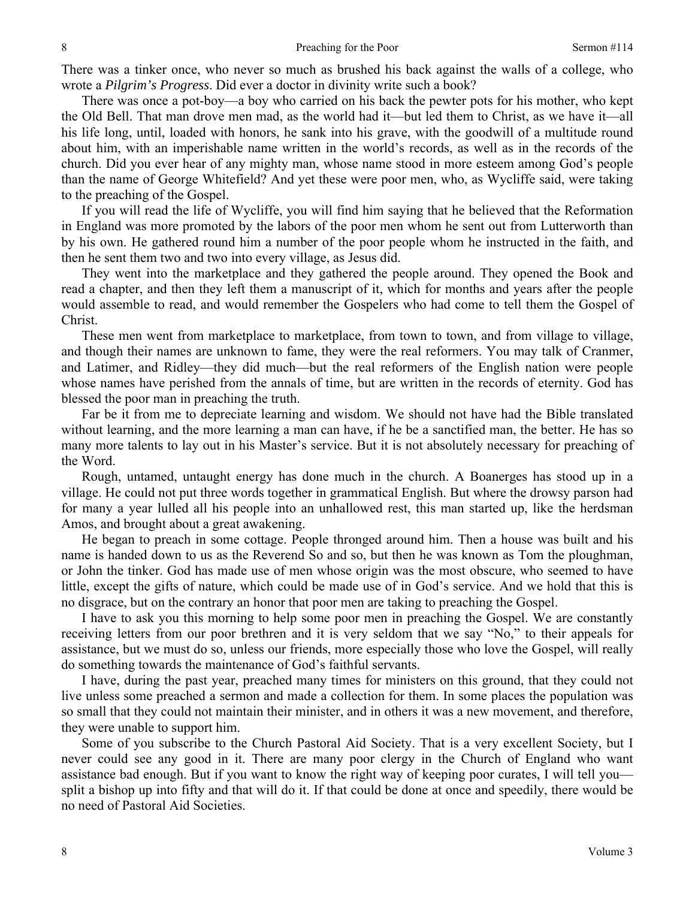There was a tinker once, who never so much as brushed his back against the walls of a college, who wrote a *Pilgrim's Progress*. Did ever a doctor in divinity write such a book?

There was once a pot-boy—a boy who carried on his back the pewter pots for his mother, who kept the Old Bell. That man drove men mad, as the world had it—but led them to Christ, as we have it—all his life long, until, loaded with honors, he sank into his grave, with the goodwill of a multitude round about him, with an imperishable name written in the world's records, as well as in the records of the church. Did you ever hear of any mighty man, whose name stood in more esteem among God's people than the name of George Whitefield? And yet these were poor men, who, as Wycliffe said, were taking to the preaching of the Gospel.

If you will read the life of Wycliffe, you will find him saying that he believed that the Reformation in England was more promoted by the labors of the poor men whom he sent out from Lutterworth than by his own. He gathered round him a number of the poor people whom he instructed in the faith, and then he sent them two and two into every village, as Jesus did.

They went into the marketplace and they gathered the people around. They opened the Book and read a chapter, and then they left them a manuscript of it, which for months and years after the people would assemble to read, and would remember the Gospelers who had come to tell them the Gospel of Christ.

These men went from marketplace to marketplace, from town to town, and from village to village, and though their names are unknown to fame, they were the real reformers. You may talk of Cranmer, and Latimer, and Ridley—they did much—but the real reformers of the English nation were people whose names have perished from the annals of time, but are written in the records of eternity. God has blessed the poor man in preaching the truth.

Far be it from me to depreciate learning and wisdom. We should not have had the Bible translated without learning, and the more learning a man can have, if he be a sanctified man, the better. He has so many more talents to lay out in his Master's service. But it is not absolutely necessary for preaching of the Word.

Rough, untamed, untaught energy has done much in the church. A Boanerges has stood up in a village. He could not put three words together in grammatical English. But where the drowsy parson had for many a year lulled all his people into an unhallowed rest, this man started up, like the herdsman Amos, and brought about a great awakening.

He began to preach in some cottage. People thronged around him. Then a house was built and his name is handed down to us as the Reverend So and so, but then he was known as Tom the ploughman, or John the tinker. God has made use of men whose origin was the most obscure, who seemed to have little, except the gifts of nature, which could be made use of in God's service. And we hold that this is no disgrace, but on the contrary an honor that poor men are taking to preaching the Gospel.

I have to ask you this morning to help some poor men in preaching the Gospel. We are constantly receiving letters from our poor brethren and it is very seldom that we say "No," to their appeals for assistance, but we must do so, unless our friends, more especially those who love the Gospel, will really do something towards the maintenance of God's faithful servants.

I have, during the past year, preached many times for ministers on this ground, that they could not live unless some preached a sermon and made a collection for them. In some places the population was so small that they could not maintain their minister, and in others it was a new movement, and therefore, they were unable to support him.

Some of you subscribe to the Church Pastoral Aid Society. That is a very excellent Society, but I never could see any good in it. There are many poor clergy in the Church of England who want assistance bad enough. But if you want to know the right way of keeping poor curates, I will tell you split a bishop up into fifty and that will do it. If that could be done at once and speedily, there would be no need of Pastoral Aid Societies.